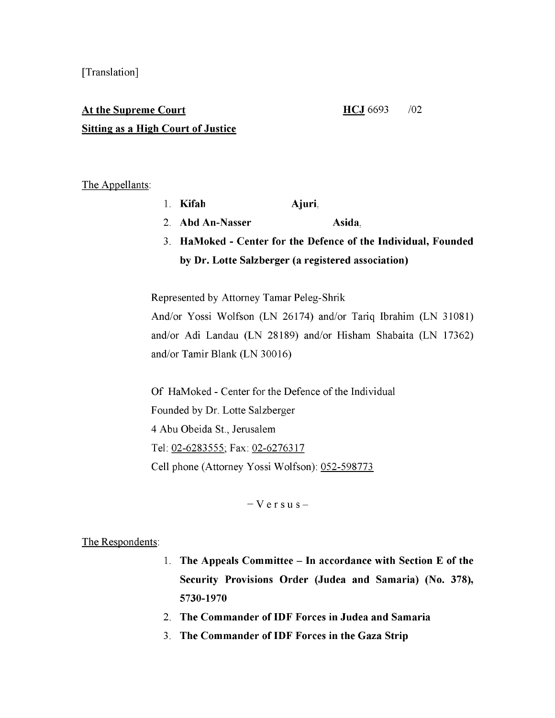# At the Supreme Court HCJ 6693 /02 **Sitting as a High Court of Justice**

### The Appellants:

- 1. Kifah Ajuri.
- 2. Abd An-Nasser Asida.
- 3. HaMoked Center for the Defence of the Individual, Founded by Dr. Lotte Salzberger (a registered association)

Represented by Attorney Tamar Peleg-Shrik

And/or Yossi Wolfson (LN 26174) and/or Tariq Ibrahim (LN 31081) and/or Adi Landau (LN 28189) and/or Hisham Shabaita (LN 17362) and/or Tamir Blank (LN 30016)

Of HaMoked - Center for the Defence of the Individual Founded by Dr. Lotte Salzberger 4 Abu Obeida St., Jerusalem Tel: 02-6253555; Fax: 02-6276317 Cell phone (Attorney Yossi Wolfson): 052-598773

 $V$  e r s u s -

#### The Respondents:

- 1. The Appeals Committee  $-$  In accordance with Section E of the Security Provisions Order (Judea and Samaria) (No. 378), 5730-1970
- 2. The Commander of IDF Forces in Judea and Samaria
- 3. The Commander of IDF Forces in the Gaza Strip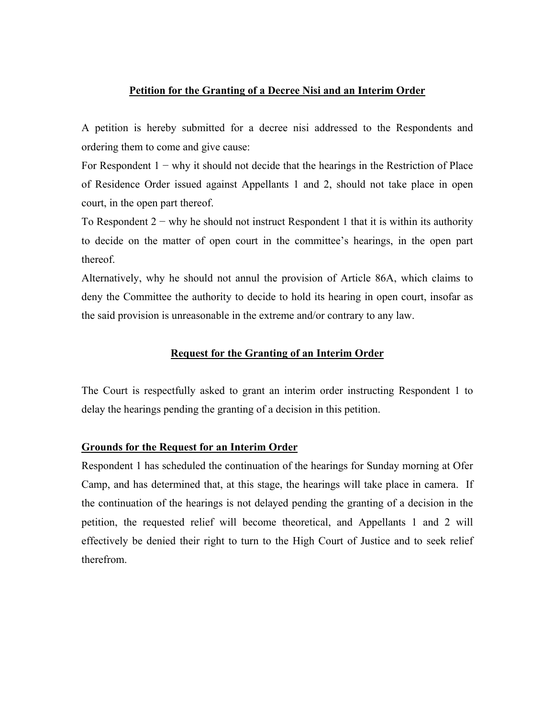#### **Petition for the Granting of a Decree Nisi and an Interim Order**

A petition is hereby submitted for a decree nisi addressed to the Respondents and ordering them to come and give cause:

For Respondent 1 − why it should not decide that the hearings in the Restriction of Place of Residence Order issued against Appellants 1 and 2, should not take place in open court, in the open part thereof.

To Respondent  $2 -$  why he should not instruct Respondent 1 that it is within its authority to decide on the matter of open court in the committee's hearings, in the open part thereof.

Alternatively, why he should not annul the provision of Article 86A, which claims to deny the Committee the authority to decide to hold its hearing in open court, insofar as the said provision is unreasonable in the extreme and/or contrary to any law.

#### **Request for the Granting of an Interim Order**

The Court is respectfully asked to grant an interim order instructing Respondent 1 to delay the hearings pending the granting of a decision in this petition.

#### **Grounds for the Request for an Interim Order**

Respondent 1 has scheduled the continuation of the hearings for Sunday morning at Ofer Camp, and has determined that, at this stage, the hearings will take place in camera. If the continuation of the hearings is not delayed pending the granting of a decision in the petition, the requested relief will become theoretical, and Appellants 1 and 2 will effectively be denied their right to turn to the High Court of Justice and to seek relief therefrom.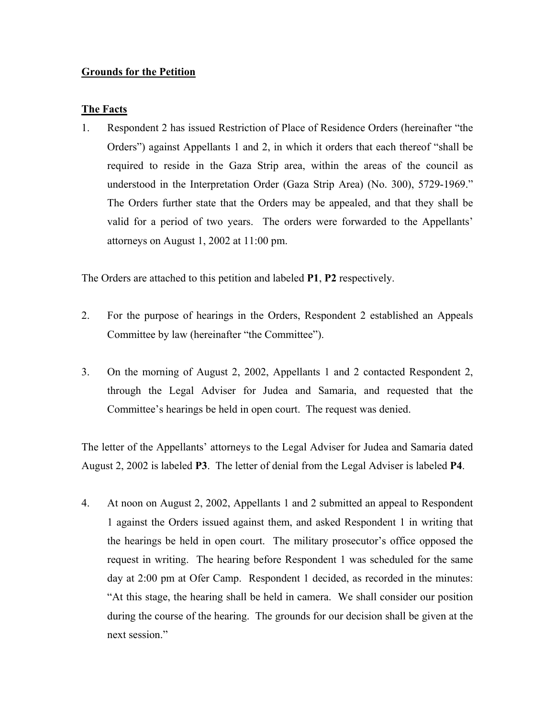# **Grounds for the Petition**

### **The Facts**

1. Respondent 2 has issued Restriction of Place of Residence Orders (hereinafter "the Orders") against Appellants 1 and 2, in which it orders that each thereof "shall be required to reside in the Gaza Strip area, within the areas of the council as understood in the Interpretation Order (Gaza Strip Area) (No. 300), 5729-1969." The Orders further state that the Orders may be appealed, and that they shall be valid for a period of two years. The orders were forwarded to the Appellants' attorneys on August 1, 2002 at 11:00 pm.

The Orders are attached to this petition and labeled **P1**, **P2** respectively.

- 2. For the purpose of hearings in the Orders, Respondent 2 established an Appeals Committee by law (hereinafter "the Committee").
- 3. On the morning of August 2, 2002, Appellants 1 and 2 contacted Respondent 2, through the Legal Adviser for Judea and Samaria, and requested that the Committee's hearings be held in open court. The request was denied.

The letter of the Appellants' attorneys to the Legal Adviser for Judea and Samaria dated August 2, 2002 is labeled **P3**. The letter of denial from the Legal Adviser is labeled **P4**.

4. At noon on August 2, 2002, Appellants 1 and 2 submitted an appeal to Respondent 1 against the Orders issued against them, and asked Respondent 1 in writing that the hearings be held in open court. The military prosecutor's office opposed the request in writing. The hearing before Respondent 1 was scheduled for the same day at 2:00 pm at Ofer Camp. Respondent 1 decided, as recorded in the minutes: "At this stage, the hearing shall be held in camera. We shall consider our position during the course of the hearing. The grounds for our decision shall be given at the next session."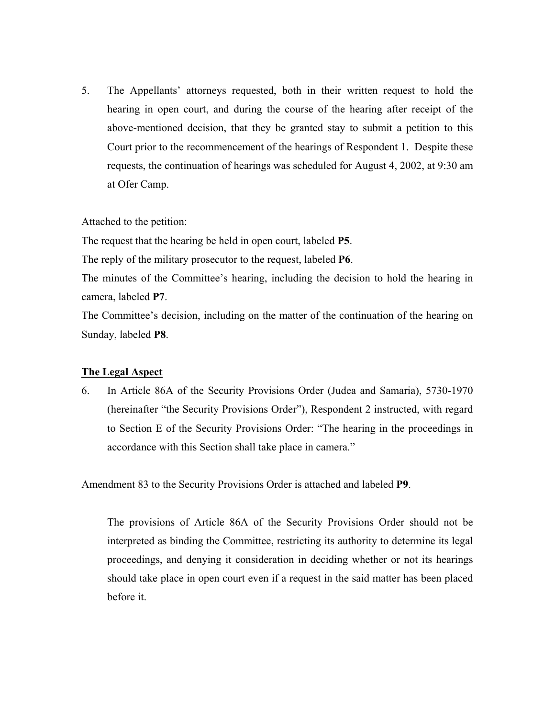5. The Appellants' attorneys requested, both in their written request to hold the hearing in open court, and during the course of the hearing after receipt of the above-mentioned decision, that they be granted stay to submit a petition to this Court prior to the recommencement of the hearings of Respondent 1. Despite these requests, the continuation of hearings was scheduled for August 4, 2002, at 9:30 am at Ofer Camp.

Attached to the petition:

The request that the hearing be held in open court, labeled **P5**.

The reply of the military prosecutor to the request, labeled **P6**.

The minutes of the Committee's hearing, including the decision to hold the hearing in camera, labeled **P7**.

The Committee's decision, including on the matter of the continuation of the hearing on Sunday, labeled **P8**.

# **The Legal Aspect**

6. In Article 86A of the Security Provisions Order (Judea and Samaria), 5730-1970 (hereinafter "the Security Provisions Order"), Respondent 2 instructed, with regard to Section E of the Security Provisions Order: "The hearing in the proceedings in accordance with this Section shall take place in camera."

Amendment 83 to the Security Provisions Order is attached and labeled **P9**.

 The provisions of Article 86A of the Security Provisions Order should not be interpreted as binding the Committee, restricting its authority to determine its legal proceedings, and denying it consideration in deciding whether or not its hearings should take place in open court even if a request in the said matter has been placed before it.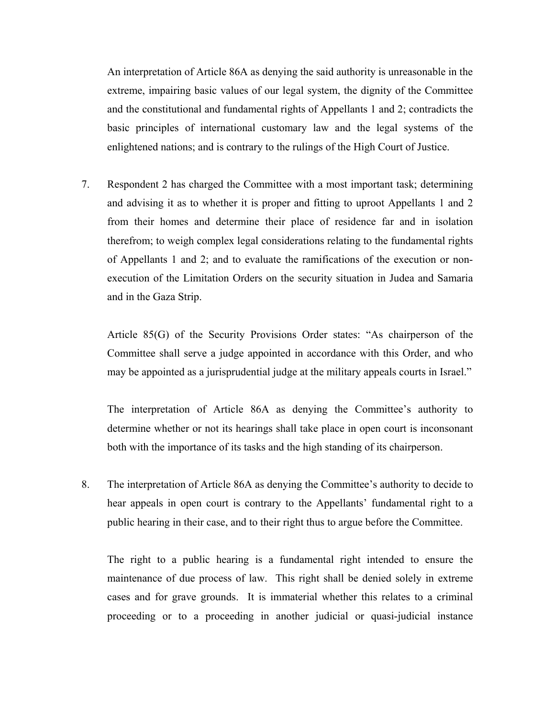An interpretation of Article 86A as denying the said authority is unreasonable in the extreme, impairing basic values of our legal system, the dignity of the Committee and the constitutional and fundamental rights of Appellants 1 and 2; contradicts the basic principles of international customary law and the legal systems of the enlightened nations; and is contrary to the rulings of the High Court of Justice.

7. Respondent 2 has charged the Committee with a most important task; determining and advising it as to whether it is proper and fitting to uproot Appellants 1 and 2 from their homes and determine their place of residence far and in isolation therefrom; to weigh complex legal considerations relating to the fundamental rights of Appellants 1 and 2; and to evaluate the ramifications of the execution or nonexecution of the Limitation Orders on the security situation in Judea and Samaria and in the Gaza Strip.

 Article 85(G) of the Security Provisions Order states: "As chairperson of the Committee shall serve a judge appointed in accordance with this Order, and who may be appointed as a jurisprudential judge at the military appeals courts in Israel."

 The interpretation of Article 86A as denying the Committee's authority to determine whether or not its hearings shall take place in open court is inconsonant both with the importance of its tasks and the high standing of its chairperson.

8. The interpretation of Article 86A as denying the Committee's authority to decide to hear appeals in open court is contrary to the Appellants' fundamental right to a public hearing in their case, and to their right thus to argue before the Committee.

 The right to a public hearing is a fundamental right intended to ensure the maintenance of due process of law. This right shall be denied solely in extreme cases and for grave grounds. It is immaterial whether this relates to a criminal proceeding or to a proceeding in another judicial or quasi-judicial instance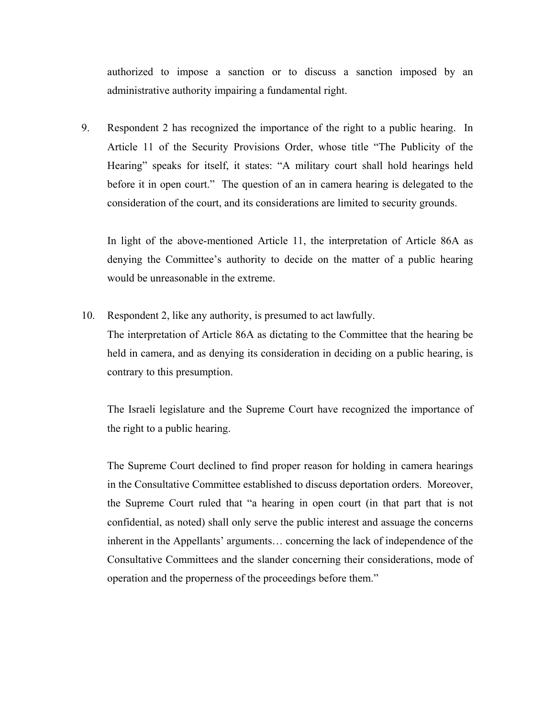authorized to impose a sanction or to discuss a sanction imposed by an administrative authority impairing a fundamental right.

9. Respondent 2 has recognized the importance of the right to a public hearing. In Article 11 of the Security Provisions Order, whose title "The Publicity of the Hearing" speaks for itself, it states: "A military court shall hold hearings held before it in open court." The question of an in camera hearing is delegated to the consideration of the court, and its considerations are limited to security grounds.

 In light of the above-mentioned Article 11, the interpretation of Article 86A as denying the Committee's authority to decide on the matter of a public hearing would be unreasonable in the extreme.

10. Respondent 2, like any authority, is presumed to act lawfully. The interpretation of Article 86A as dictating to the Committee that the hearing be held in camera, and as denying its consideration in deciding on a public hearing, is contrary to this presumption.

 The Israeli legislature and the Supreme Court have recognized the importance of the right to a public hearing.

 The Supreme Court declined to find proper reason for holding in camera hearings in the Consultative Committee established to discuss deportation orders. Moreover, the Supreme Court ruled that "a hearing in open court (in that part that is not confidential, as noted) shall only serve the public interest and assuage the concerns inherent in the Appellants' arguments… concerning the lack of independence of the Consultative Committees and the slander concerning their considerations, mode of operation and the properness of the proceedings before them."